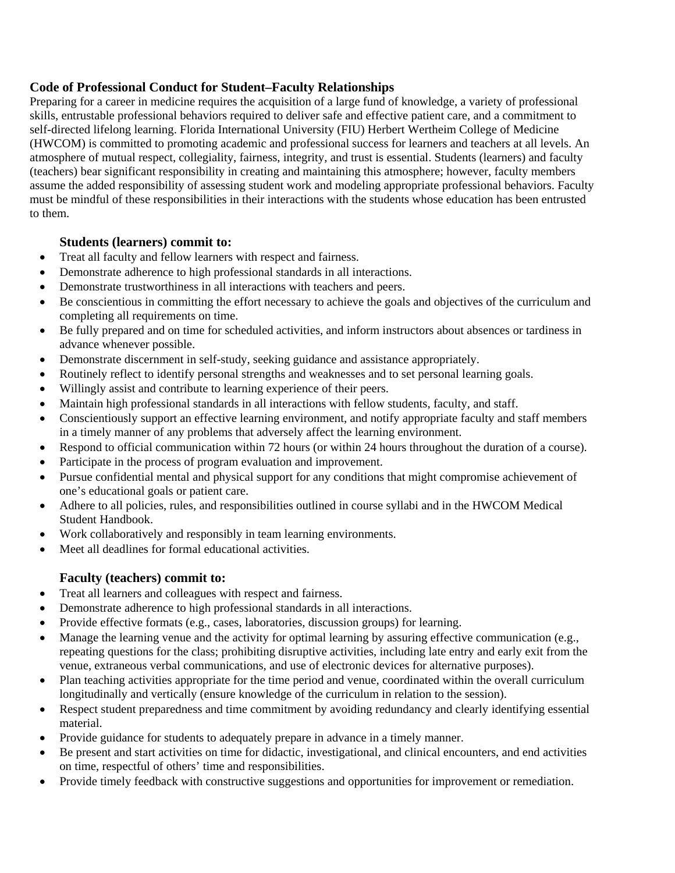## **Code of Professional Conduct for Student–Faculty Relationships**

Preparing for a career in medicine requires the acquisition of a large fund of knowledge, a variety of professional skills, entrustable professional behaviors required to deliver safe and effective patient care, and a commitment to self-directed lifelong learning. Florida International University (FIU) Herbert Wertheim College of Medicine (HWCOM) is committed to promoting academic and professional success for learners and teachers at all levels. An atmosphere of mutual respect, collegiality, fairness, integrity, and trust is essential. Students (learners) and faculty (teachers) bear significant responsibility in creating and maintaining this atmosphere; however, faculty members assume the added responsibility of assessing student work and modeling appropriate professional behaviors. Faculty must be mindful of these responsibilities in their interactions with the students whose education has been entrusted to them.

## **Students (learners) commit to:**

- Treat all faculty and fellow learners with respect and fairness.
- Demonstrate adherence to high professional standards in all interactions.
- Demonstrate trustworthiness in all interactions with teachers and peers.
- Be conscientious in committing the effort necessary to achieve the goals and objectives of the curriculum and completing all requirements on time.
- Be fully prepared and on time for scheduled activities, and inform instructors about absences or tardiness in advance whenever possible.
- Demonstrate discernment in self-study, seeking guidance and assistance appropriately.
- Routinely reflect to identify personal strengths and weaknesses and to set personal learning goals.
- Willingly assist and contribute to learning experience of their peers.
- Maintain high professional standards in all interactions with fellow students, faculty, and staff.
- Conscientiously support an effective learning environment, and notify appropriate faculty and staff members in a timely manner of any problems that adversely affect the learning environment.
- Respond to official communication within 72 hours (or within 24 hours throughout the duration of a course).
- Participate in the process of program evaluation and improvement.
- Pursue confidential mental and physical support for any conditions that might compromise achievement of one's educational goals or patient care.
- Adhere to all policies, rules, and responsibilities outlined in course syllabi and in the HWCOM Medical Student Handbook.
- Work collaboratively and responsibly in team learning environments.
- Meet all deadlines for formal educational activities.

## **Faculty (teachers) commit to:**

- Treat all learners and colleagues with respect and fairness.
- Demonstrate adherence to high professional standards in all interactions.
- Provide effective formats (e.g., cases, laboratories, discussion groups) for learning.
- Manage the learning venue and the activity for optimal learning by assuring effective communication (e.g., repeating questions for the class; prohibiting disruptive activities, including late entry and early exit from the venue, extraneous verbal communications, and use of electronic devices for alternative purposes).
- Plan teaching activities appropriate for the time period and venue, coordinated within the overall curriculum longitudinally and vertically (ensure knowledge of the curriculum in relation to the session).
- Respect student preparedness and time commitment by avoiding redundancy and clearly identifying essential material.
- Provide guidance for students to adequately prepare in advance in a timely manner.
- Be present and start activities on time for didactic, investigational, and clinical encounters, and end activities on time, respectful of others' time and responsibilities.
- Provide timely feedback with constructive suggestions and opportunities for improvement or remediation.